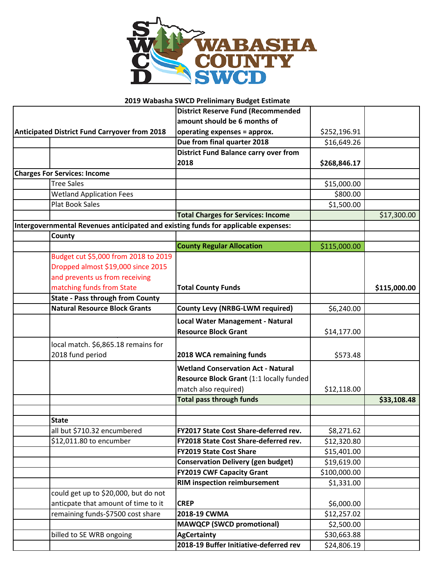

## **2019 Wabasha SWCD Prelinimary Budget Estimate**

|                                                                                    | <b>District Reserve Fund (Recommended</b>    |              |              |
|------------------------------------------------------------------------------------|----------------------------------------------|--------------|--------------|
|                                                                                    | amount should be 6 months of                 |              |              |
| <b>Anticipated District Fund Carryover from 2018</b>                               | operating expenses = approx.                 | \$252,196.91 |              |
|                                                                                    | Due from final quarter 2018                  | \$16,649.26  |              |
|                                                                                    | <b>District Fund Balance carry over from</b> |              |              |
|                                                                                    | 2018                                         | \$268,846.17 |              |
| <b>Charges For Services: Income</b>                                                |                                              |              |              |
| <b>Tree Sales</b>                                                                  |                                              | \$15,000.00  |              |
| <b>Wetland Application Fees</b>                                                    |                                              | \$800.00     |              |
| <b>Plat Book Sales</b>                                                             |                                              | \$1,500.00   |              |
|                                                                                    | <b>Total Charges for Services: Income</b>    |              | \$17,300.00  |
| Intergovernmental Revenues anticipated and existing funds for applicable expenses: |                                              |              |              |
| County                                                                             |                                              |              |              |
|                                                                                    | <b>County Regular Allocation</b>             | \$115,000.00 |              |
| Budget cut \$5,000 from 2018 to 2019                                               |                                              |              |              |
| Dropped almost \$19,000 since 2015                                                 |                                              |              |              |
| and prevents us from receiving                                                     |                                              |              |              |
| matching funds from State                                                          | <b>Total County Funds</b>                    |              | \$115,000.00 |
| <b>State - Pass through from County</b>                                            |                                              |              |              |
| <b>Natural Resource Block Grants</b>                                               | <b>County Levy (NRBG-LWM required)</b>       | \$6,240.00   |              |
|                                                                                    | <b>Local Water Management - Natural</b>      |              |              |
|                                                                                    | <b>Resource Block Grant</b>                  | \$14,177.00  |              |
| local match. \$6,865.18 remains for                                                |                                              |              |              |
| 2018 fund period                                                                   | 2018 WCA remaining funds                     | \$573.48     |              |
|                                                                                    |                                              |              |              |
|                                                                                    | <b>Wetland Conservation Act - Natural</b>    |              |              |
|                                                                                    | Resource Block Grant (1:1 locally funded     |              |              |
|                                                                                    | match also required)                         | \$12,118.00  |              |
|                                                                                    | <b>Total pass through funds</b>              |              | \$33,108.48  |
|                                                                                    |                                              |              |              |
| <b>State</b>                                                                       |                                              |              |              |
| all but \$710.32 encumbered                                                        | FY2017 State Cost Share-deferred rev.        | \$8,271.62   |              |
| \$12,011.80 to encumber                                                            | FY2018 State Cost Share-deferred rev.        | \$12,320.80  |              |
|                                                                                    | <b>FY2019 State Cost Share</b>               | \$15,401.00  |              |
|                                                                                    | <b>Conservation Delivery (gen budget)</b>    | \$19,619.00  |              |
|                                                                                    | <b>FY2019 CWF Capacity Grant</b>             | \$100,000.00 |              |
|                                                                                    | <b>RIM inspection reimbursement</b>          | \$1,331.00   |              |
| could get up to \$20,000, but do not                                               |                                              |              |              |
| anticpate that amount of time to it                                                | <b>CREP</b>                                  | \$6,000.00   |              |
| remaining funds-\$7500 cost share                                                  | 2018-19 CWMA                                 | \$12,257.02  |              |
|                                                                                    | <b>MAWQCP (SWCD promotional)</b>             | \$2,500.00   |              |
| billed to SE WRB ongoing                                                           | <b>AgCertainty</b>                           | \$30,663.88  |              |
|                                                                                    | 2018-19 Buffer Initiative-deferred rev       | \$24,806.19  |              |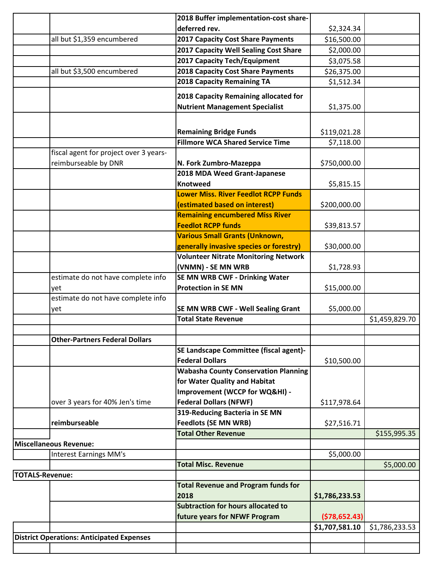|                        |                                                  | 2018 Buffer implementation-cost share-                           |                |                |
|------------------------|--------------------------------------------------|------------------------------------------------------------------|----------------|----------------|
|                        |                                                  | deferred rev.                                                    | \$2,324.34     |                |
|                        | all but \$1,359 encumbered                       | <b>2017 Capacity Cost Share Payments</b>                         | \$16,500.00    |                |
|                        |                                                  | 2017 Capacity Well Sealing Cost Share                            | \$2,000.00     |                |
|                        |                                                  | 2017 Capacity Tech/Equipment                                     | \$3,075.58     |                |
|                        | all but \$3,500 encumbered                       | <b>2018 Capacity Cost Share Payments</b>                         | \$26,375.00    |                |
|                        |                                                  | <b>2018 Capacity Remaining TA</b>                                | \$1,512.34     |                |
|                        |                                                  | 2018 Capacity Remaining allocated for                            |                |                |
|                        |                                                  | <b>Nutrient Management Specialist</b>                            | \$1,375.00     |                |
|                        |                                                  |                                                                  |                |                |
|                        |                                                  |                                                                  |                |                |
|                        |                                                  | <b>Remaining Bridge Funds</b>                                    | \$119,021.28   |                |
|                        |                                                  | <b>Fillmore WCA Shared Service Time</b>                          | \$7,118.00     |                |
|                        | fiscal agent for project over 3 years-           |                                                                  |                |                |
|                        | reimburseable by DNR                             | N. Fork Zumbro-Mazeppa                                           | \$750,000.00   |                |
|                        |                                                  | 2018 MDA Weed Grant-Japanese                                     |                |                |
|                        |                                                  | <b>Knotweed</b>                                                  | \$5,815.15     |                |
|                        |                                                  | <b>Lower Miss. River Feedlot RCPP Funds</b>                      |                |                |
|                        |                                                  | (estimated based on interest)                                    | \$200,000.00   |                |
|                        |                                                  | <b>Remaining encumbered Miss River</b>                           |                |                |
|                        |                                                  | <b>Feedlot RCPP funds</b>                                        | \$39,813.57    |                |
|                        |                                                  | <b>Various Small Grants (Unknown,</b>                            |                |                |
|                        |                                                  | generally invasive species or forestry)                          | \$30,000.00    |                |
|                        |                                                  | <b>Volunteer Nitrate Monitoring Network</b>                      |                |                |
|                        |                                                  | (VNMN) - SE MN WRB                                               | \$1,728.93     |                |
|                        | estimate do not have complete info               | SE MN WRB CWF - Drinking Water                                   |                |                |
|                        | yet                                              | <b>Protection in SE MN</b>                                       | \$15,000.00    |                |
|                        | estimate do not have complete info               |                                                                  |                |                |
|                        | yet                                              | SE MN WRB CWF - Well Sealing Grant<br><b>Total State Revenue</b> | \$5,000.00     |                |
|                        |                                                  |                                                                  |                | \$1,459,829.70 |
|                        | <b>Other-Partners Federal Dollars</b>            |                                                                  |                |                |
|                        |                                                  | SE Landscape Committee (fiscal agent)-                           |                |                |
|                        |                                                  | <b>Federal Dollars</b>                                           | \$10,500.00    |                |
|                        |                                                  | <b>Wabasha County Conservation Planning</b>                      |                |                |
|                        |                                                  | for Water Quality and Habitat                                    |                |                |
|                        |                                                  | Improvement (WCCP for WQ&HI) -                                   |                |                |
|                        | over 3 years for 40% Jen's time                  | <b>Federal Dollars (NFWF)</b>                                    | \$117,978.64   |                |
|                        |                                                  | 319-Reducing Bacteria in SE MN                                   |                |                |
|                        | reimburseable                                    | <b>Feedlots (SE MN WRB)</b>                                      | \$27,516.71    |                |
|                        |                                                  | <b>Total Other Revenue</b>                                       |                | \$155,995.35   |
|                        | <b>Miscellaneous Revenue:</b>                    |                                                                  |                |                |
|                        | <b>Interest Earnings MM's</b>                    |                                                                  | \$5,000.00     |                |
|                        |                                                  | <b>Total Misc. Revenue</b>                                       |                | \$5,000.00     |
| <b>TOTALS-Revenue:</b> |                                                  |                                                                  |                |                |
|                        |                                                  | <b>Total Revenue and Program funds for</b>                       |                |                |
|                        |                                                  | 2018                                                             | \$1,786,233.53 |                |
|                        |                                                  | <b>Subtraction for hours allocated to</b>                        |                |                |
|                        |                                                  | future years for NFWF Program                                    | (578, 652.43)  |                |
|                        |                                                  |                                                                  | \$1,707,581.10 | \$1,786,233.53 |
|                        | <b>District Operations: Anticipated Expenses</b> |                                                                  |                |                |
|                        |                                                  |                                                                  |                |                |
|                        |                                                  |                                                                  |                |                |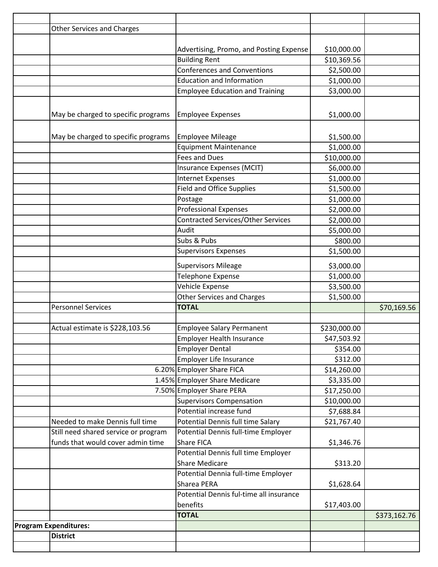| <b>Other Services and Charges</b>                                                   |              |
|-------------------------------------------------------------------------------------|--------------|
|                                                                                     |              |
|                                                                                     |              |
| Advertising, Promo, and Posting Expense<br>\$10,000.00                              |              |
| <b>Building Rent</b><br>\$10,369.56                                                 |              |
| <b>Conferences and Conventions</b><br>\$2,500.00                                    |              |
| <b>Education and Information</b><br>\$1,000.00                                      |              |
| <b>Employee Education and Training</b><br>\$3,000.00                                |              |
|                                                                                     |              |
| May be charged to specific programs<br>\$1,000.00<br><b>Employee Expenses</b>       |              |
|                                                                                     |              |
| May be charged to specific programs<br><b>Employee Mileage</b><br>\$1,500.00        |              |
| <b>Equipment Maintenance</b><br>\$1,000.00                                          |              |
| <b>Fees and Dues</b><br>\$10,000.00                                                 |              |
| \$6,000.00<br>Insurance Expenses (MCIT)                                             |              |
| \$1,000.00<br><b>Internet Expenses</b>                                              |              |
| <b>Field and Office Supplies</b>                                                    |              |
| \$1,500.00                                                                          |              |
| Postage<br>\$1,000.00<br><b>Professional Expenses</b>                               |              |
| \$2,000.00                                                                          |              |
| Contracted Services/Other Services<br>\$2,000.00                                    |              |
| Audit<br>\$5,000.00                                                                 |              |
| Subs & Pubs<br>\$800.00                                                             |              |
| Supervisors Expenses<br>\$1,500.00                                                  |              |
| <b>Supervisors Mileage</b><br>\$3,000.00                                            |              |
| <b>Telephone Expense</b><br>\$1,000.00                                              |              |
| Vehicle Expense<br>\$3,500.00                                                       |              |
| <b>Other Services and Charges</b><br>\$1,500.00                                     |              |
| <b>Personnel Services</b><br><b>TOTAL</b>                                           | \$70,169.56  |
|                                                                                     |              |
| Actual estimate is \$228,103.56<br><b>Employee Salary Permanent</b><br>\$230,000.00 |              |
| <b>Employer Health Insurance</b><br>\$47,503.92                                     |              |
| <b>Employer Dental</b><br>\$354.00                                                  |              |
| Employer Life Insurance<br>\$312.00                                                 |              |
| 6.20% Employer Share FICA<br>\$14,260.00                                            |              |
| 1.45% Employer Share Medicare<br>\$3,335.00                                         |              |
| 7.50% Employer Share PERA<br>\$17,250.00                                            |              |
| <b>Supervisors Compensation</b><br>\$10,000.00                                      |              |
| Potential increase fund<br>\$7,688.84                                               |              |
| Potential Dennis full time Salary<br>Needed to make Dennis full time<br>\$21,767.40 |              |
| Still need shared service or program<br>Potential Dennis full-time Employer         |              |
| funds that would cover admin time<br><b>Share FICA</b><br>\$1,346.76                |              |
| Potential Dennis full time Employer                                                 |              |
| <b>Share Medicare</b><br>\$313.20                                                   |              |
| Potential Dennia full-time Employer                                                 |              |
| Sharea PERA<br>\$1,628.64                                                           |              |
| Potential Dennis ful-time all insurance                                             |              |
| benefits<br>\$17,403.00                                                             |              |
| <b>TOTAL</b>                                                                        | \$373,162.76 |
| <b>Program Expenditures:</b>                                                        |              |
| <b>District</b>                                                                     |              |
|                                                                                     |              |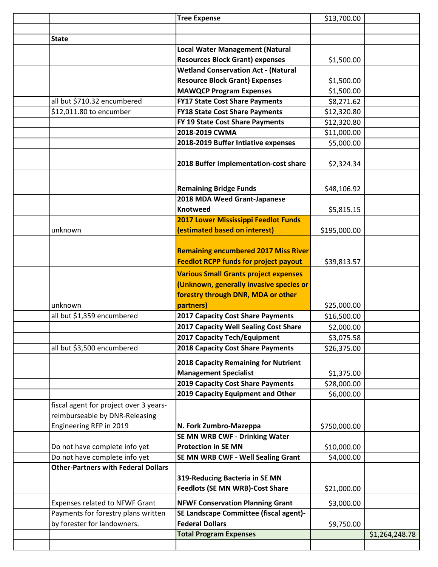|                                            | <b>Tree Expense</b>                                                      | \$13,700.00  |                |
|--------------------------------------------|--------------------------------------------------------------------------|--------------|----------------|
|                                            |                                                                          |              |                |
| <b>State</b>                               |                                                                          |              |                |
|                                            | <b>Local Water Management (Natural</b>                                   |              |                |
|                                            | <b>Resources Block Grant) expenses</b>                                   | \$1,500.00   |                |
|                                            | <b>Wetland Conservation Act - (Natural</b>                               |              |                |
|                                            | <b>Resource Block Grant) Expenses</b>                                    | \$1,500.00   |                |
|                                            | <b>MAWQCP Program Expenses</b>                                           | \$1,500.00   |                |
| all but \$710.32 encumbered                | <b>FY17 State Cost Share Payments</b>                                    | \$8,271.62   |                |
| \$12,011.80 to encumber                    | <b>FY18 State Cost Share Payments</b>                                    | \$12,320.80  |                |
|                                            | FY 19 State Cost Share Payments                                          | \$12,320.80  |                |
|                                            | 2018-2019 CWMA                                                           | \$11,000.00  |                |
|                                            | 2018-2019 Buffer Intiative expenses                                      | \$5,000.00   |                |
|                                            | 2018 Buffer implementation-cost share                                    | \$2,324.34   |                |
|                                            | <b>Remaining Bridge Funds</b>                                            | \$48,106.92  |                |
|                                            | 2018 MDA Weed Grant-Japanese                                             |              |                |
|                                            | <b>Knotweed</b>                                                          | \$5,815.15   |                |
|                                            | 2017 Lower Mississippi Feedlot Funds                                     |              |                |
| unknown                                    | (estimated based on interest)                                            | \$195,000.00 |                |
|                                            | <b>Remaining encumbered 2017 Miss River</b>                              |              |                |
|                                            | <b>Feedlot RCPP funds for project payout</b>                             | \$39,813.57  |                |
|                                            | <b>Various Small Grants project expenses</b>                             |              |                |
|                                            | (Unknown, generally invasive species or                                  |              |                |
|                                            | forestry through DNR, MDA or other                                       |              |                |
| unknown                                    | partners)                                                                | \$25,000.00  |                |
| all but \$1,359 encumbered                 | 2017 Capacity Cost Share Payments                                        | \$16,500.00  |                |
|                                            | 2017 Capacity Well Sealing Cost Share                                    | \$2,000.00   |                |
|                                            | 2017 Capacity Tech/Equipment                                             | \$3,075.58   |                |
| all but \$3,500 encumbered                 | 2018 Capacity Cost Share Payments                                        | \$26,375.00  |                |
|                                            | 2018 Capacity Remaining for Nutrient                                     |              |                |
|                                            | <b>Management Specialist</b>                                             | \$1,375.00   |                |
|                                            | 2019 Capacity Cost Share Payments                                        | \$28,000.00  |                |
|                                            | 2019 Capacity Equipment and Other                                        | \$6,000.00   |                |
| fiscal agent for project over 3 years-     |                                                                          |              |                |
| reimburseable by DNR-Releasing             |                                                                          |              |                |
| Engineering RFP in 2019                    | N. Fork Zumbro-Mazeppa                                                   | \$750,000.00 |                |
|                                            | SE MN WRB CWF - Drinking Water                                           |              |                |
| Do not have complete info yet              | <b>Protection in SE MN</b>                                               | \$10,000.00  |                |
| Do not have complete info yet              | SE MN WRB CWF - Well Sealing Grant                                       | \$4,000.00   |                |
| <b>Other-Partners with Federal Dollars</b> |                                                                          |              |                |
|                                            | 319-Reducing Bacteria in SE MN<br><b>Feedlots (SE MN WRB)-Cost Share</b> | \$21,000.00  |                |
| <b>Expenses related to NFWF Grant</b>      | <b>NFWF Conservation Planning Grant</b>                                  | \$3,000.00   |                |
| Payments for forestry plans written        | SE Landscape Committee (fiscal agent)-                                   |              |                |
| by forester for landowners.                | <b>Federal Dollars</b>                                                   | \$9,750.00   |                |
|                                            | <b>Total Program Expenses</b>                                            |              | \$1,264,248.78 |
|                                            |                                                                          |              |                |